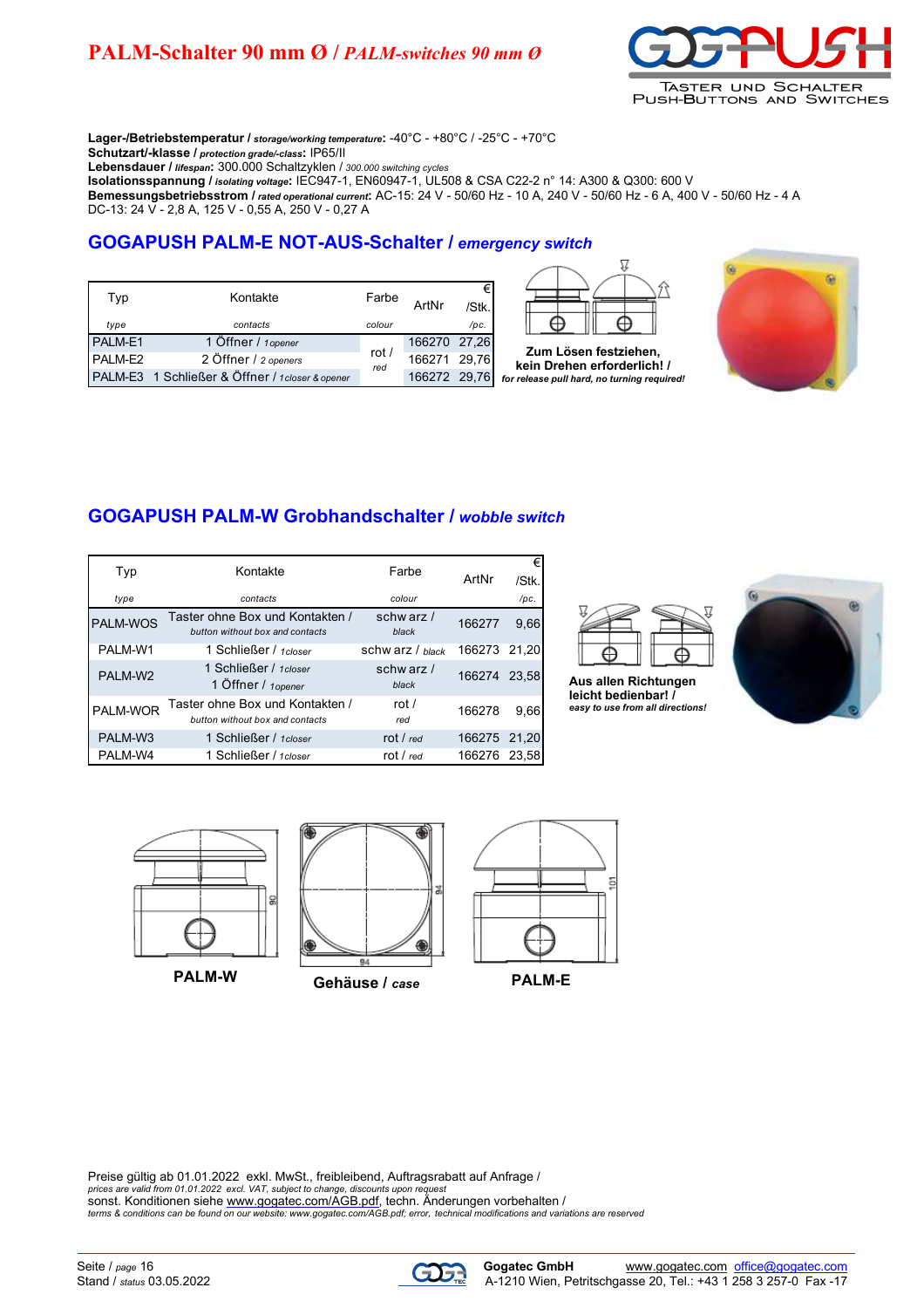# **PALM-Schalter 90 mm Ø /** *PALM-switches 90 mm Ø*



**Lager-/Betriebstemperatur /** *storage/working temperature***:** -40°C - +80°C / -25°C - +70°C

**Schutzart/-klasse /** *protection grade/-class***:** IP65/II

**Lebensdauer /** *lifespan***:** 300.000 Schaltzyklen / *300.000 switching cycles* **Isolationsspannung /** *isolating voltage***:** IEC947-1, EN60947-1, UL508 & CSA C22-2 n° 14: A300 & Q300: 600 V

**Bemessungsbetriebsstrom /** *rated operational current***:** AC-15: 24 V - 50/60 Hz - 10 A, 240 V - 50/60 Hz - 6 A, 400 V - 50/60 Hz - 4 A DC-13: 24 V - 2,8 A, 125 V - 0,55 A, 250 V - 0,27 A

### **GOGAPUSH PALM-E NOT-AUS-Schalter /** *emergency switch*

| Typ     | Kontakte                                         | Farbe          | ArtNr        | €<br>/Stk. |
|---------|--------------------------------------------------|----------------|--------------|------------|
| type    | contacts                                         | colour         |              | /pc.       |
| PALM-E1 | 1 Öffner / 1 opener                              |                | 166270 27,26 |            |
| PALM-E2 | 2 Öffner / 2 openers                             | rot $/$<br>red | 166271 29,76 |            |
|         | PALM-E3 1 Schließer & Öffner / 1 closer & opener |                | 166272 29,76 |            |



**Zum Lösen festziehen, kein Drehen erforderlich! /** *for release pull hard, no turning required!*



### **GOGAPUSH PALM-W Grobhandschalter /** *wobble switch*

| Typ      | Kontakte                                                           | Farbe                |        |       |
|----------|--------------------------------------------------------------------|----------------------|--------|-------|
|          |                                                                    |                      | ArtNr  | /Stk. |
| type     | contacts                                                           | colour               |        | /pc.  |
| PALM-WOS | Taster ohne Box und Kontakten /<br>button without box and contacts | schwarz $/$<br>black | 166277 | 9,66  |
| PALM-W1  | 1 Schließer / 1closer                                              | schw arz / black     | 166273 | 21.20 |
| PALM-W2  | 1 Schließer / 1closer<br>1 Öffner / 1 opener                       | schw arz /<br>black  | 166274 | 23.58 |
| PALM-WOR | Taster ohne Box und Kontakten /<br>button without box and contacts | rot $\prime$<br>red  | 166278 | 9,66  |
| PALM-W3  | 1 Schließer / 1closer                                              | rot / $_{red}$       | 166275 | 21,20 |
| PALM-W4  | 1 Schließer / 1 closer                                             | rot / $red$          | 166276 | 23.58 |



**Aus allen Richtungen leicht bedienbar! /** *easy to use from all directions!*







**Gehäuse /** *case* **PALM-W PALM-E**





Preise gültig ab 01.01.2022 exkl. MwSt., freibleibend, Auftragsrabatt auf Anfrage / *prices are valid from 01.01.2022 excl. VAT, subject to change, discounts upon request* sonst. Konditionen siehe [www.gogatec.com/AGB.pdf,](www.gogatec.com/AGB.pdf) techn. Änderungen vorbehalten / *[terms & conditions can be found on our website: www.gogatec.com/AGB.pdf;](terms & conditions can be found on our website: www.gogatec.com/AGB.pdf; ) error, technical modifications and variations are reserved*

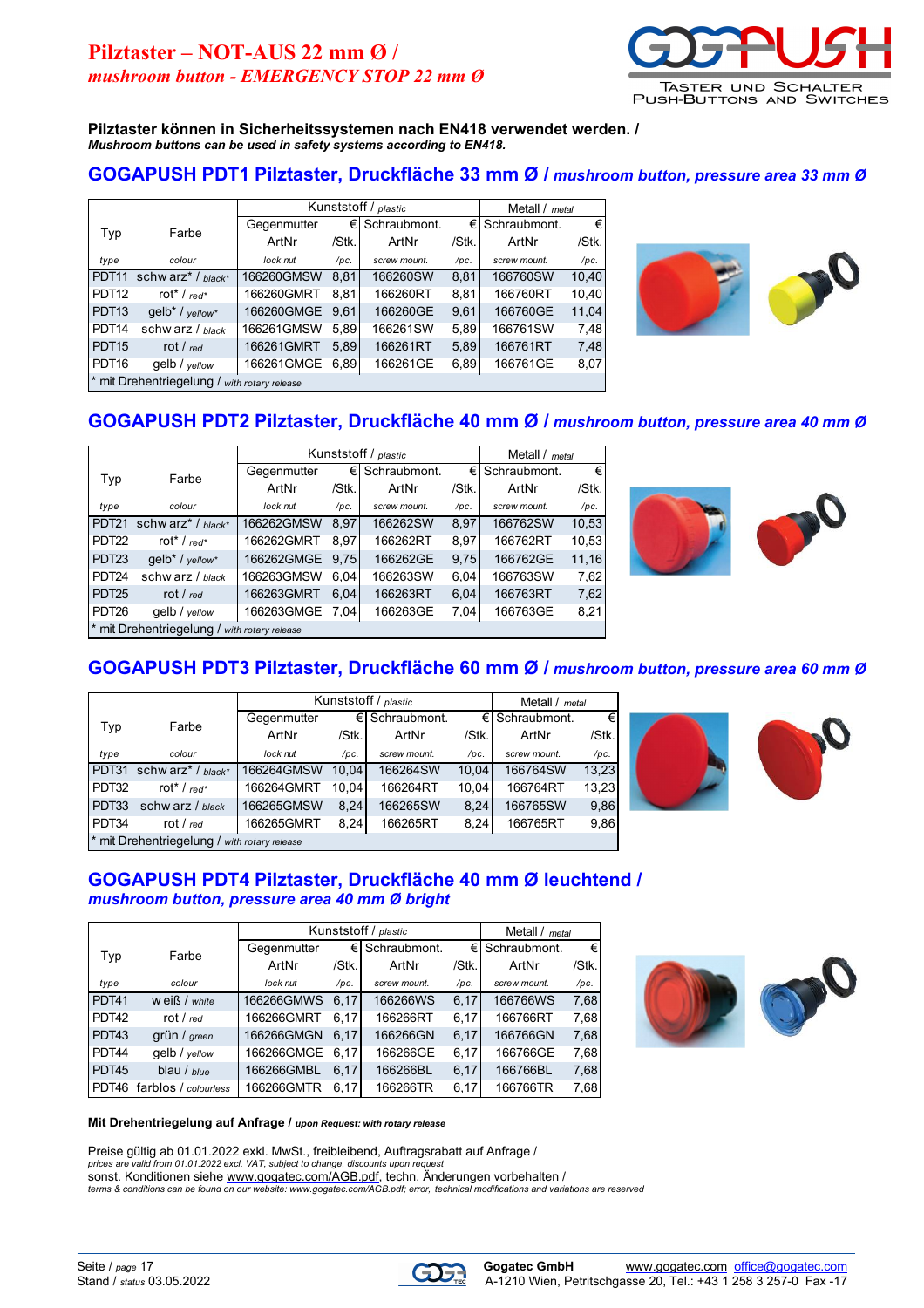

**Pilztaster können in Sicherheitssystemen nach EN418 verwendet werden. /** *Mushroom buttons can be used in safety systems according to EN418.*

#### **GOGAPUSH PDT1 Pilztaster, Druckfläche 33 mm Ø /** *mushroom button, pressure area 33 mm Ø*

|                   |                                                 | Kunststoff / plastic |             |              | Metall / metal |              |              |   |
|-------------------|-------------------------------------------------|----------------------|-------------|--------------|----------------|--------------|--------------|---|
|                   | Farbe                                           |                      | Gegenmutter | €            | Schraubmont.   | €Ι           | Schraubmont. | € |
| Typ               |                                                 | ArtNr                | /Stk.       | ArtNr        | /Stk.          | ArtNr        | /Stk.        |   |
| type              | colour                                          | lock nut             | /pc.        | screw mount. | /pc.           | screw mount. | /pc.         |   |
| PDT <sub>11</sub> | schw arz <sup>*</sup> / $black^*$               | 166260GMSW           | 8.81        | 166260SW     | 8,81           | 166760SW     | 10,40        |   |
| PDT <sub>12</sub> | rot <sup>*</sup> / $red^*$                      | 166260GMRT           | 8.81        | 166260RT     | 8,81           | 166760RT     | 10,40        |   |
| PDT <sub>13</sub> | $qelb* /$ vellow*                               | 166260GMGE           | 9.61        | 166260GE     | 9,61           | 166760GE     | 11,04        |   |
| PDT <sub>14</sub> | schw arz $/$ black                              | 166261GMSW           | 5.89        | 166261SW     | 5.89           | 166761SW     | 7,48         |   |
| PDT <sub>15</sub> | rot / $red$                                     | 166261GMRT           | 5.89        | 166261RT     | 5,89           | 166761RT     | 7,48         |   |
| PDT <sub>16</sub> | qelb / yellow                                   | 166261GMGE           | 6,89        | 166261GE     | 6,89           | 166761GE     | 8,07         |   |
|                   | * mit Drehentriegelung /<br>with rotary release |                      |             |              |                |              |              |   |



# **GOGAPUSH PDT2 Pilztaster, Druckfläche 40 mm Ø /** *mushroom button, pressure area 40 mm Ø*

|                   |                                                 | Kunststoff / plastic |       |              |       | Metall / metal     |       |  |
|-------------------|-------------------------------------------------|----------------------|-------|--------------|-------|--------------------|-------|--|
| Typ               | Farbe                                           | Gegenmutter          | €     | Schraubmont. |       | $∈$ I Schraubmont. | €     |  |
|                   |                                                 | ArtNr                | /Stk. | ArtNr        | /Stk. | ArtNr              | /Stk. |  |
| type              | colour                                          | lock nut             | /pc.  | screw mount. | /pc.  | screw mount.       | /pc.  |  |
| PDT <sub>21</sub> | schw arz <sup>*</sup> / $black^*$               | 166262GMSW           | 8.97  | 166262SW     | 8,97  | 166762SW           | 10,53 |  |
| PDT <sub>22</sub> | rot <sup>*</sup> / $red*$                       | 166262GMRT           | 8.97  | 166262RT     | 8,97  | 166762RT           | 10,53 |  |
| PDT <sub>23</sub> | gelb <sup>*</sup> / yellow <sup>*</sup>         | 166262GMGE           | 9.75  | 166262GE     | 9,75  | 166762GE           | 11,16 |  |
| PDT <sub>24</sub> | schw arz / black                                | 166263GMSW           | 6.04  | 166263SW     | 6,04  | 166763SW           | 7,62  |  |
| PDT <sub>25</sub> | rot / $red$                                     | 166263GMRT           | 6.04  | 166263RT     | 6,04  | 166763RT           | 7,62  |  |
| PDT <sub>26</sub> | $gelb /$ yellow                                 | 166263GMGE           | 7.04  | 166263GE     | 7,04  | 166763GE           | 8,21  |  |
|                   | * mit Drehentriegelung /<br>with rotary release |                      |       |              |       |                    |       |  |



### **GOGAPUSH PDT3 Pilztaster, Druckfläche 60 mm Ø /** *mushroom button, pressure area 60 mm Ø*

|                                                 |                           | Kunststoff / plastic |       |              |       | Metall / metal |       |
|-------------------------------------------------|---------------------------|----------------------|-------|--------------|-------|----------------|-------|
| Typ                                             | Farbe                     | Gegenmutter          | €     | Schraubmont. |       | € Schraubmont. | €     |
|                                                 |                           | ArtNr                | /Stk. | ArtNr        | /Stk. | ArtNr          | /Stk. |
| type                                            | colour                    | lock nut             | /pc.  | screw mount. | /pc.  | screw mount.   | /pc.  |
| PDT31                                           | schw $arz^*$ / $black^*$  | 166264GMSW           | 10.04 | 166264SW     | 10.04 | 166764SW       | 13,23 |
| PDT32                                           | rot <sup>*</sup> / $red*$ | 166264GMRT           | 10.04 | 166264RT     | 10.04 | 166764RT       | 13,23 |
| PDT33                                           | schw arz / black          | 166265GMSW           | 8,24  | 166265SW     | 8.24  | 166765SW       | 9,86  |
| PDT34                                           | rot / $red$               | 166265GMRT           | 8,24  | 166265RT     | 8,24  | 166765RT       | 9,86  |
| * mit Drehentriegelung /<br>with rotary release |                           |                      |       |              |       |                |       |



**GOGAPUSH PDT4 Pilztaster, Druckfläche 40 mm Ø leuchtend /** *mushroom button, pressure area 40 mm Ø bright*

|       |                      | Kunststoff / plastic |       |                    | Metall / metal |                   |       |
|-------|----------------------|----------------------|-------|--------------------|----------------|-------------------|-------|
| Typ   | Farbe                | Gegenmutter          |       | Schraubmont.<br>€Ι |                | Schraubmont.<br>€ | €     |
|       |                      | ArtNr                | /Stk. | ArtNr              | /Stk.          | ArtNr             | /Stk. |
| type  | colour               | lock nut             | /pc.  | screw mount.       | /pc.           | screw mount.      | /pc.  |
| PDT41 | $w$ eiß / $white$    | 166266GMWS           | 6.17  | 166266WS           | 6.17           | 166766WS          | 7,68  |
| PDT42 | rot / $red$          | 166266GMRT           | 6.17  | 166266RT           | 6.17           | 166766RT          | 7,68  |
| PDT43 | grün / green         | 166266GMGN           | 6.17  | 166266GN           | 6,17           | 166766GN          | 7,68  |
| PDT44 | gelb / vellow        | 166266GMGE           | 6.17  | 166266GE           | 6.17           | 166766GE          | 7,68  |
| PDT45 | blau / blue          | 166266GMBL           | 6.17  | 166266BL           | 6,17           | 166766BL          | 7,68  |
| PDT46 | farblos / colourless | 166266GMTR           | 6.17  | 166266TR           | 6.17           | 166766TR          | 7.68  |



#### **Mit Drehentriegelung auf Anfrage /** *upon Request: with rotary release*

Preise gültig ab 01.01.2022 exkl. MwSt., freibleibend, Auftragsrabatt auf Anfrage / *prices are valid from 01.01.2022 excl. VAT, subject to change, discounts upon request* sonst. Konditionen siehe [www.gogatec.com/AGB.pdf,](www.gogatec.com/AGB.pdf) techn. Änderungen vorbehalten / *terms &<conditions can be found on our website: www.gogatec.com/AGB.pdf; error,> technical modifications and variations are reserved*